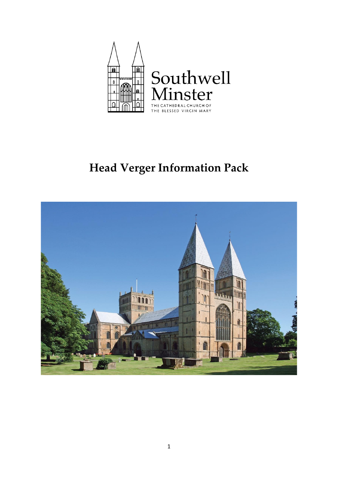

# **Head Verger Information Pack**

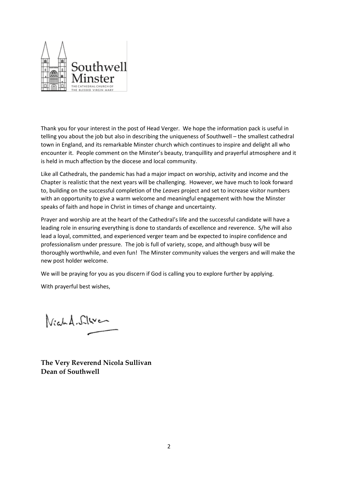

Thank you for your interest in the post of Head Verger. We hope the information pack is useful in telling you about the job but also in describing the uniqueness of Southwell – the smallest cathedral town in England, and its remarkable Minster church which continues to inspire and delight all who encounter it. People comment on the Minster's beauty, tranquillity and prayerful atmosphere and it is held in much affection by the diocese and local community.

Like all Cathedrals, the pandemic has had a major impact on worship, activity and income and the Chapter is realistic that the next years will be challenging. However, we have much to look forward to, building on the successful completion of the *Leaves* project and set to increase visitor numbers with an opportunity to give a warm welcome and meaningful engagement with how the Minster speaks of faith and hope in Christ in times of change and uncertainty.

Prayer and worship are at the heart of the Cathedral's life and the successful candidate will have a leading role in ensuring everything is done to standards of excellence and reverence. S/he will also lead a loyal, committed, and experienced verger team and be expected to inspire confidence and professionalism under pressure. The job is full of variety, scope, and although busy will be thoroughly worthwhile, and even fun! The Minster community values the vergers and will make the new post holder welcome.

We will be praying for you as you discern if God is calling you to explore further by applying.

With prayerful best wishes,

Vich A. Silver

**The Very Reverend Nicola Sullivan Dean of Southwell**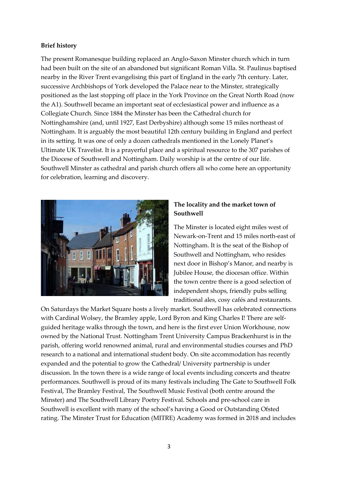## **Brief history**

The present Romanesque building replaced an Anglo-Saxon Minster church which in turn had been built on the site of an abandoned but significant Roman Villa. St. Paulinus baptised nearby in the River Trent evangelising this part of England in the early 7th century. Later, successive Archbishops of York developed the Palace near to the Minster, strategically positioned as the last stopping off place in the York Province on the Great North Road (now the A1). Southwell became an important seat of ecclesiastical power and influence as a Collegiate Church. Since 1884 the Minster has been the Cathedral church for Nottinghamshire (and, until 1927, East Derbyshire) although some 15 miles northeast of Nottingham. It is arguably the most beautiful 12th century building in England and perfect in its setting. It was one of only a dozen cathedrals mentioned in the Lonely Planet's Ultimate UK Travelist. It is a prayerful place and a spiritual resource to the 307 parishes of the Diocese of Southwell and Nottingham. Daily worship is at the centre of our life. Southwell Minster as cathedral and parish church offers all who come here an opportunity for celebration, learning and discovery.



## **The locality and the market town of Southwell**

The Minster is located eight miles west of Newark-on-Trent and 15 miles north-east of Nottingham. It is the seat of the Bishop of Southwell and Nottingham, who resides next door in Bishop's Manor, and nearby is Jubilee House, the diocesan office. Within the town centre there is a good selection of independent shops, friendly pubs selling traditional ales, cosy cafés and restaurants.

On Saturdays the Market Square hosts a lively market. Southwell has celebrated connections with Cardinal Wolsey, the Bramley apple, Lord Byron and King Charles I! There are selfguided heritage walks through the town, and here is the first ever Union Workhouse, now owned by the National Trust. Nottingham Trent University Campus Brackenhurst is in the parish, offering world renowned animal, rural and environmental studies courses and PhD research to a national and international student body. On site accommodation has recently expanded and the potential to grow the Cathedral/ University partnership is under discussion. In the town there is a wide range of local events including concerts and theatre performances. Southwell is proud of its many festivals including The Gate to Southwell Folk Festival, The Bramley Festival, The Southwell Music Festival (both centre around the Minster) and The Southwell Library Poetry Festival. Schools and pre-school care in Southwell is excellent with many of the school's having a Good or Outstanding Ofsted rating. The Minster Trust for Education (MITRE) Academy was formed in 2018 and includes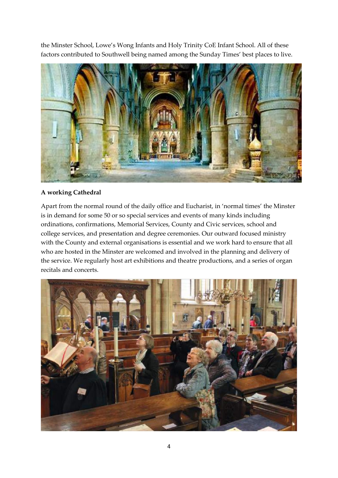the Minster School, Lowe's Wong Infants and Holy Trinity CoE Infant School. All of these factors contributed to Southwell being named among the Sunday Times' best places to live.



## **A working Cathedral**

Apart from the normal round of the daily office and Eucharist, in 'normal times' the Minster is in demand for some 50 or so special services and events of many kinds including ordinations, confirmations, Memorial Services, County and Civic services, school and college services, and presentation and degree ceremonies. Our outward focused ministry with the County and external organisations is essential and we work hard to ensure that all who are hosted in the Minster are welcomed and involved in the planning and delivery of the service. We regularly host art exhibitions and theatre productions, and a series of organ recitals and concerts.

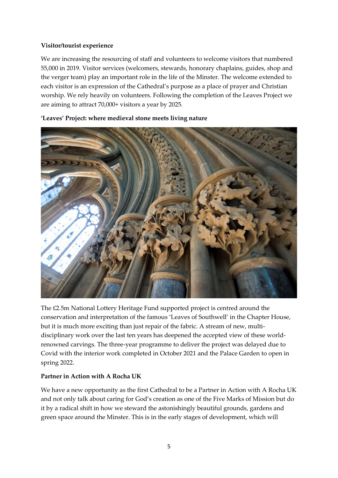## **Visitor/tourist experience**

We are increasing the resourcing of staff and volunteers to welcome visitors that numbered 55,000 in 2019. Visitor services (welcomers, stewards, honorary chaplains, guides, shop and the verger team) play an important role in the life of the Minster. The welcome extended to each visitor is an expression of the Cathedral's purpose as a place of prayer and Christian worship. We rely heavily on volunteers. Following the completion of the Leaves Project we are aiming to attract 70,000+ visitors a year by 2025.



**'Leaves' Project: where medieval stone meets living nature** 

The £2.5m National Lottery Heritage Fund supported project is centred around the conservation and interpretation of the famous 'Leaves of Southwell' in the Chapter House, but it is much more exciting than just repair of the fabric. A stream of new, multidisciplinary work over the last ten years has deepened the accepted view of these worldrenowned carvings. The three-year programme to deliver the project was delayed due to Covid with the interior work completed in October 2021 and the Palace Garden to open in spring 2022.

## **Partner in Action with A Rocha UK**

We have a new opportunity as the first Cathedral to be a Partner in Action with A Rocha UK and not only talk about caring for God's creation as one of the Five Marks of Mission but do it by a radical shift in how we steward the astonishingly beautiful grounds, gardens and green space around the Minster. This is in the early stages of development, which will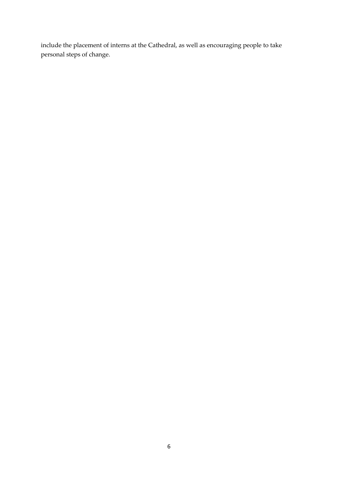include the placement of interns at the Cathedral, as well as encouraging people to take personal steps of change.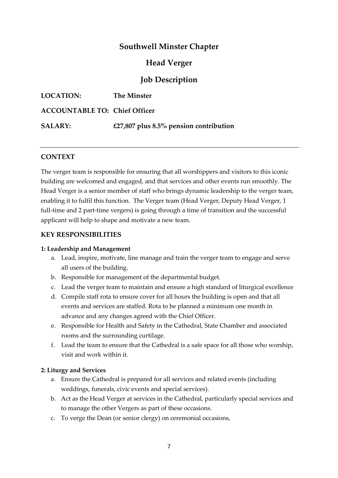# **Southwell Minster Chapter**

# **Head Verger**

# **Job Description**

| <b>LOCATION:</b>                     | The Minster                               |
|--------------------------------------|-------------------------------------------|
| <b>ACCOUNTABLE TO: Chief Officer</b> |                                           |
| <b>SALARY:</b>                       | £27,807 plus $8.5\%$ pension contribution |

## **CONTEXT**

The verger team is responsible for ensuring that all worshippers and visitors to this iconic building are welcomed and engaged, and that services and other events run smoothly. The Head Verger is a senior member of staff who brings dynamic leadership to the verger team, enabling it to fulfil this function. The Verger team (Head Verger, Deputy Head Verger, 1 full-time and 2 part-time vergers) is going through a time of transition and the successful applicant will help to shape and motivate a new team.

## **KEY RESPONSIBILITIES**

#### **1: Leadership and Management**

- a. Lead, inspire, motivate, line manage and train the verger team to engage and serve all users of the building.
- b. Responsible for management of the departmental budget.
- c. Lead the verger team to maintain and ensure a high standard of liturgical excellence
- d. Compile staff rota to ensure cover for all hours the building is open and that all events and services are staffed. Rota to be planned a minimum one month in advance and any changes agreed with the Chief Officer.
- e. Responsible for Health and Safety in the Cathedral, State Chamber and associated rooms and the surrounding curtilage.
- f. Lead the team to ensure that the Cathedral is a safe space for all those who worship, visit and work within it.

## **2: Liturgy and Services**

- a. Ensure the Cathedral is prepared for all services and related events (including weddings, funerals, civic events and special services).
- b. Act as the Head Verger at services in the Cathedral, particularly special services and to manage the other Vergers as part of these occasions.
- c. To verge the Dean (or senior clergy) on ceremonial occasions,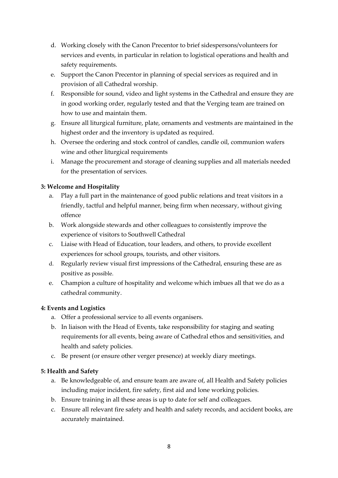- d. Working closely with the Canon Precentor to brief sidespersons/volunteers for services and events, in particular in relation to logistical operations and health and safety requirements.
- e. Support the Canon Precentor in planning of special services as required and in provision of all Cathedral worship.
- f. Responsible for sound, video and light systems in the Cathedral and ensure they are in good working order, regularly tested and that the Verging team are trained on how to use and maintain them.
- g. Ensure all liturgical furniture, plate, ornaments and vestments are maintained in the highest order and the inventory is updated as required.
- h. Oversee the ordering and stock control of candles, candle oil, communion wafers wine and other liturgical requirements
- i. Manage the procurement and storage of cleaning supplies and all materials needed for the presentation of services.

## **3: Welcome and Hospitality**

- a. Play a full part in the maintenance of good public relations and treat visitors in a friendly, tactful and helpful manner, being firm when necessary, without giving offence
- b. Work alongside stewards and other colleagues to consistently improve the experience of visitors to Southwell Cathedral
- c. Liaise with Head of Education, tour leaders, and others, to provide excellent experiences for school groups, tourists, and other visitors.
- d. Regularly review visual first impressions of the Cathedral, ensuring these are as positive as possible.
- e. Champion a culture of hospitality and welcome which imbues all that we do as a cathedral community.

## **4: Events and Logistics**

- a. Offer a professional service to all events organisers.
- b. In liaison with the Head of Events, take responsibility for staging and seating requirements for all events, being aware of Cathedral ethos and sensitivities, and health and safety policies.
- c. Be present (or ensure other verger presence) at weekly diary meetings.

## **5: Health and Safety**

- a. Be knowledgeable of, and ensure team are aware of, all Health and Safety policies including major incident, fire safety, first aid and lone working policies.
- b. Ensure training in all these areas is up to date for self and colleagues.
- c. Ensure all relevant fire safety and health and safety records, and accident books, are accurately maintained.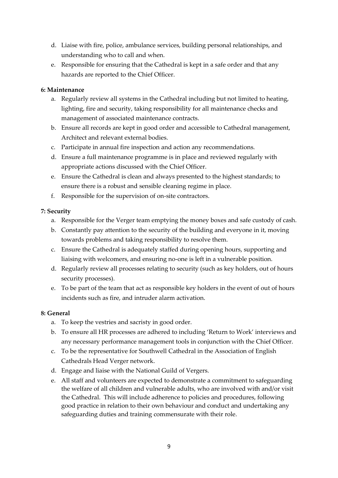- d. Liaise with fire, police, ambulance services, building personal relationships, and understanding who to call and when.
- e. Responsible for ensuring that the Cathedral is kept in a safe order and that any hazards are reported to the Chief Officer.

## **6: Maintenance**

- a. Regularly review all systems in the Cathedral including but not limited to heating, lighting, fire and security, taking responsibility for all maintenance checks and management of associated maintenance contracts.
- b. Ensure all records are kept in good order and accessible to Cathedral management, Architect and relevant external bodies.
- c. Participate in annual fire inspection and action any recommendations.
- d. Ensure a full maintenance programme is in place and reviewed regularly with appropriate actions discussed with the Chief Officer.
- e. Ensure the Cathedral is clean and always presented to the highest standards; to ensure there is a robust and sensible cleaning regime in place.
- f. Responsible for the supervision of on-site contractors.

## **7: Security**

- a. Responsible for the Verger team emptying the money boxes and safe custody of cash.
- b. Constantly pay attention to the security of the building and everyone in it, moving towards problems and taking responsibility to resolve them.
- c. Ensure the Cathedral is adequately staffed during opening hours, supporting and liaising with welcomers, and ensuring no-one is left in a vulnerable position.
- d. Regularly review all processes relating to security (such as key holders, out of hours security processes).
- e. To be part of the team that act as responsible key holders in the event of out of hours incidents such as fire, and intruder alarm activation.

## **8: General**

- a. To keep the vestries and sacristy in good order.
- b. To ensure all HR processes are adhered to including 'Return to Work' interviews and any necessary performance management tools in conjunction with the Chief Officer.
- c. To be the representative for Southwell Cathedral in the Association of English Cathedrals Head Verger network.
- d. Engage and liaise with the National Guild of Vergers.
- e. All staff and volunteers are expected to demonstrate a commitment to safeguarding the welfare of all children and vulnerable adults, who are involved with and/or visit the Cathedral. This will include adherence to policies and procedures, following good practice in relation to their own behaviour and conduct and undertaking any safeguarding duties and training commensurate with their role.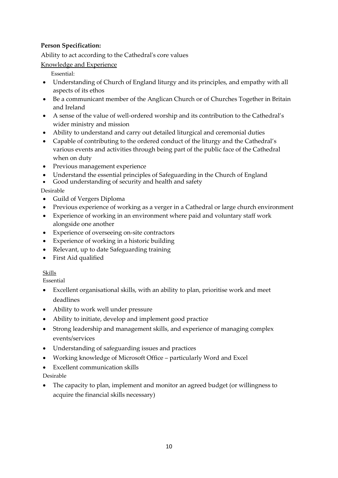## **Person Specification:**

Ability to act according to the Cathedral's core values

Knowledge and Experience

Essential:

- Understanding of Church of England liturgy and its principles, and empathy with all aspects of its ethos
- Be a communicant member of the Anglican Church or of Churches Together in Britain and Ireland
- A sense of the value of well-ordered worship and its contribution to the Cathedral's wider ministry and mission
- Ability to understand and carry out detailed liturgical and ceremonial duties
- Capable of contributing to the ordered conduct of the liturgy and the Cathedral's various events and activities through being part of the public face of the Cathedral when on duty
- Previous management experience
- Understand the essential principles of Safeguarding in the Church of England
- Good understanding of security and health and safety

## Desirable

- Guild of Vergers Diploma
- Previous experience of working as a verger in a Cathedral or large church environment
- Experience of working in an environment where paid and voluntary staff work alongside one another
- Experience of overseeing on-site contractors
- Experience of working in a historic building
- Relevant, up to date Safeguarding training
- First Aid qualified

## Skills

Essential

- Excellent organisational skills, with an ability to plan, prioritise work and meet deadlines
- Ability to work well under pressure
- Ability to initiate, develop and implement good practice
- Strong leadership and management skills, and experience of managing complex events/services
- Understanding of safeguarding issues and practices
- Working knowledge of Microsoft Office particularly Word and Excel
- Excellent communication skills

Desirable

• The capacity to plan, implement and monitor an agreed budget (or willingness to acquire the financial skills necessary)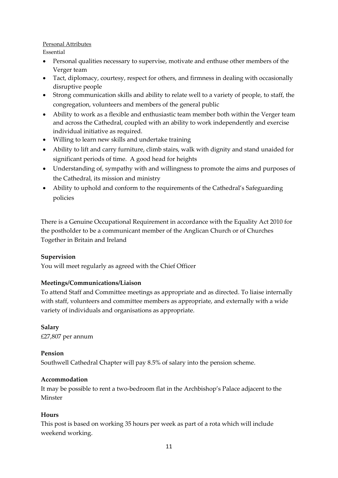#### Personal Attributes

Essential

- Personal qualities necessary to supervise, motivate and enthuse other members of the Verger team
- Tact, diplomacy, courtesy, respect for others, and firmness in dealing with occasionally disruptive people
- Strong communication skills and ability to relate well to a variety of people, to staff, the congregation, volunteers and members of the general public
- Ability to work as a flexible and enthusiastic team member both within the Verger team and across the Cathedral, coupled with an ability to work independently and exercise individual initiative as required.
- Willing to learn new skills and undertake training
- Ability to lift and carry furniture, climb stairs, walk with dignity and stand unaided for significant periods of time. A good head for heights
- Understanding of, sympathy with and willingness to promote the aims and purposes of the Cathedral, its mission and ministry
- Ability to uphold and conform to the requirements of the Cathedral's Safeguarding policies

There is a Genuine Occupational Requirement in accordance with the Equality Act 2010 for the postholder to be a communicant member of the Anglican Church or of Churches Together in Britain and Ireland

## **Supervision**

You will meet regularly as agreed with the Chief Officer

## **Meetings/Communications/Liaison**

To attend Staff and Committee meetings as appropriate and as directed. To liaise internally with staff, volunteers and committee members as appropriate, and externally with a wide variety of individuals and organisations as appropriate.

**Salary** £27,807 per annum

#### **Pension**

Southwell Cathedral Chapter will pay 8.5% of salary into the pension scheme.

#### **Accommodation**

It may be possible to rent a two-bedroom flat in the Archbishop's Palace adjacent to the Minster

#### **Hours**

This post is based on working 35 hours per week as part of a rota which will include weekend working.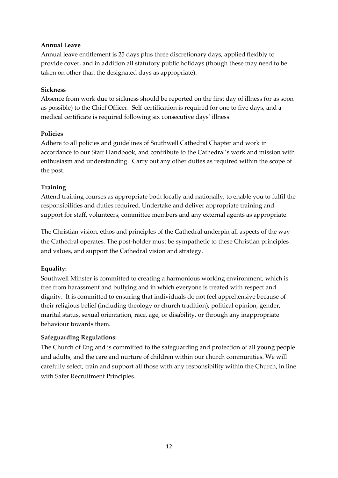## **Annual Leave**

Annual leave entitlement is 25 days plus three discretionary days, applied flexibly to provide cover, and in addition all statutory public holidays (though these may need to be taken on other than the designated days as appropriate).

## **Sickness**

Absence from work due to sickness should be reported on the first day of illness (or as soon as possible) to the Chief Officer. Self-certification is required for one to five days, and a medical certificate is required following six consecutive days' illness.

## **Policies**

Adhere to all policies and guidelines of Southwell Cathedral Chapter and work in accordance to our Staff Handbook, and contribute to the Cathedral's work and mission with enthusiasm and understanding. Carry out any other duties as required within the scope of the post.

## **Training**

Attend training courses as appropriate both locally and nationally, to enable you to fulfil the responsibilities and duties required. Undertake and deliver appropriate training and support for staff, volunteers, committee members and any external agents as appropriate.

The Christian vision, ethos and principles of the Cathedral underpin all aspects of the way the Cathedral operates. The post-holder must be sympathetic to these Christian principles and values, and support the Cathedral vision and strategy.

## **Equality:**

Southwell Minster is committed to creating a harmonious working environment, which is free from harassment and bullying and in which everyone is treated with respect and dignity. It is committed to ensuring that individuals do not feel apprehensive because of their religious belief (including theology or church tradition), political opinion, gender, marital status, sexual orientation, race, age, or disability, or through any inappropriate behaviour towards them.

## **Safeguarding Regulations:**

The Church of England is committed to the safeguarding and protection of all young people and adults, and the care and nurture of children within our church communities. We will carefully select, train and support all those with any responsibility within the Church, in line with Safer Recruitment Principles.